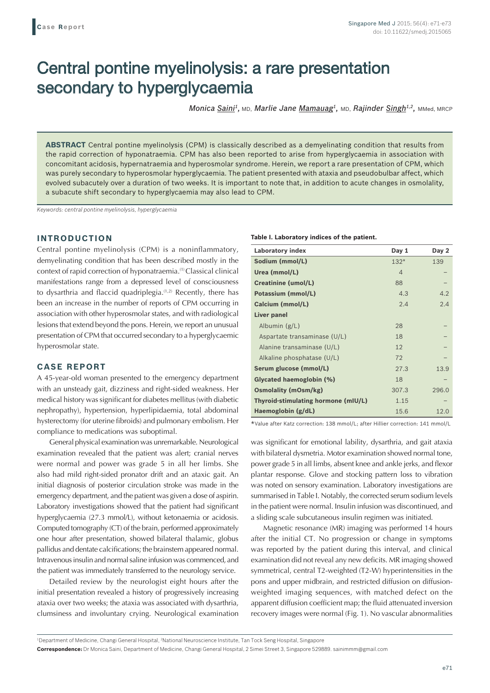# Central pontine myelinolysis: a rare presentation secondary to hyperglycaemia

*Monica Saini<sup>1</sup>, MD, Marlie Jane Mamauag<sup>1</sup>, MD, Rajinder Singh<sup>1,2</sup>, MMed, MRCP* 

**ABSTRACT** Central pontine myelinolysis (CPM) is classically described as a demyelinating condition that results from the rapid correction of hyponatraemia. CPM has also been reported to arise from hyperglycaemia in association with concomitant acidosis, hypernatraemia and hyperosmolar syndrome. Herein, we report a rare presentation of CPM, which was purely secondary to hyperosmolar hyperglycaemia. The patient presented with ataxia and pseudobulbar affect, which evolved subacutely over a duration of two weeks. It is important to note that, in addition to acute changes in osmolality, a subacute shift secondary to hyperglycaemia may also lead to CPM.

*Keywords: central pontine myelinolysis, hyperglycaemia*

## **INTRODUCTION**

Central pontine myelinolysis (CPM) is a noninflammatory, demyelinating condition that has been described mostly in the context of rapid correction of hyponatraemia.(1) Classical clinical manifestations range from a depressed level of consciousness to dysarthria and flaccid quadriplegia.<sup>(1,2)</sup> Recently, there has been an increase in the number of reports of CPM occurring in association with other hyperosmolar states, and with radiological lesions that extend beyond the pons. Herein, we report an unusual presentation of CPM that occurred secondary to a hyperglycaemic hyperosmolar state.

## **CASE REPORT**

A 45-year-old woman presented to the emergency department with an unsteady gait, dizziness and right-sided weakness. Her medical history was significant for diabetes mellitus (with diabetic nephropathy), hypertension, hyperlipidaemia, total abdominal hysterectomy (for uterine fibroids) and pulmonary embolism. Her compliance to medications was suboptimal.

General physical examination was unremarkable. Neurological examination revealed that the patient was alert; cranial nerves were normal and power was grade 5 in all her limbs. She also had mild right-sided pronator drift and an ataxic gait. An initial diagnosis of posterior circulation stroke was made in the emergency department, and the patient was given a dose of aspirin. Laboratory investigations showed that the patient had significant hyperglycaemia (27.3 mmol/L), without ketonaemia or acidosis. Computed tomography (CT) of the brain, performed approximately one hour after presentation, showed bilateral thalamic, globus pallidus and dentate calcifications; the brainstem appeared normal. Intravenous insulin and normal saline infusionwas commenced, and the patient was immediately transferred to the neurology service.

Detailed review by the neurologist eight hours after the initial presentation revealed a history of progressively increasing ataxia over two weeks; the ataxia was associated with dysarthria, clumsiness and involuntary crying. Neurological examination

#### **Table I. Laboratory indices of the patient.**

| <b>Laboratory index</b>             | Day 1          | Day 2 |
|-------------------------------------|----------------|-------|
| Sodium (mmol/L)                     | $132*$         | 139   |
| Urea (mmol/L)                       | $\overline{4}$ |       |
| <b>Creatinine (umol/L)</b>          | 88             |       |
| Potassium (mmol/L)                  | 4.3            | 4.2   |
| Calcium (mmol/L)                    | 2.4            | 2.4   |
| Liver panel                         |                |       |
| Albumin $(g/L)$                     | 28             |       |
| Aspartate transaminase (U/L)        | 18             |       |
| Alanine transaminase (U/L)          | 12             |       |
| Alkaline phosphatase $(U/L)$        | 72             |       |
| Serum glucose (mmol/L)              | 27.3           | 13.9  |
| Glycated haemoglobin (%)            | 18             |       |
| <b>Osmolality (mOsm/kg)</b>         | 307.3          | 296.0 |
| Thyroid-stimulating hormone (mIU/L) | 1.15           |       |
| Haemoglobin (g/dL)                  | 15.6           | 12.0  |

\*Value after Katz correction: 138 mmol/L; after Hillier correction: 141 mmol/L

was significant for emotional lability, dysarthria, and gait ataxia with bilateral dysmetria. Motor examination showed normal tone, power grade 5 in all limbs, absent knee and ankle jerks, and flexor plantar response. Glove and stocking pattern loss to vibration was noted on sensory examination. Laboratory investigations are summarised in Table I. Notably, the corrected serum sodium levels in the patient were normal. Insulin infusion was discontinued, and a sliding scale subcutaneous insulin regimen was initiated.

Magnetic resonance (MR) imaging was performed 14 hours after the initial CT. No progression or change in symptoms was reported by the patient during this interval, and clinical examination did not reveal any new deficits. MR imaging showed symmetrical, central T2-weighted (T2-W) hyperintensities in the pons and upper midbrain, and restricted diffusion on diffusionweighted imaging sequences, with matched defect on the apparent diffusion coefficient map; the fluid attenuated inversion recovery images were normal (Fig. 1). No vascular abnormalities

**Correspondence:** Dr Monica Saini, Department of Medicine, Changi General Hospital, 2 Simei Street 3, Singapore 529889. sainimmm@gmail.com

<sup>&</sup>lt;sup>1</sup>Department of Medicine, Changi General Hospital, <sup>2</sup>National Neuroscience Institute, Tan Tock Seng Hospital, Singapore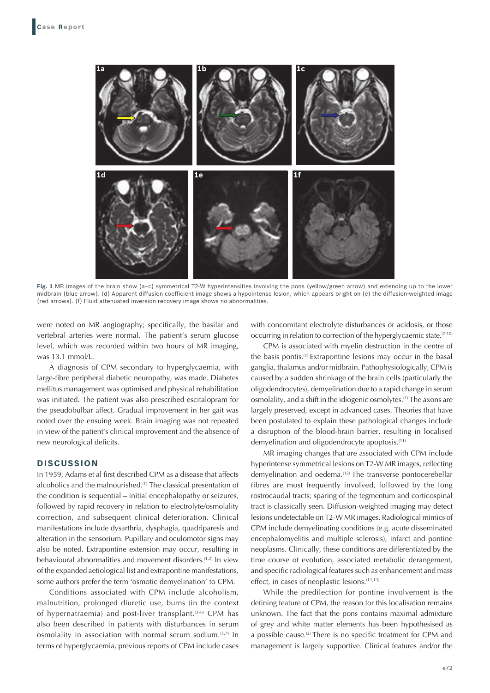

**Fig. 1** MR images of the brain show (a–c) symmetrical T2-W hyperintensities involving the pons (yellow/green arrow) and extending up to the lower midbrain (blue arrow). (d) Apparent diffusion coefficient image shows a hypointense lesion, which appears bright on (e) the diffusion-weighted image (red arrows). (f) Fluid attenuated inversion recovery image shows no abnormalities.

were noted on MR angiography; specifically, the basilar and vertebral arteries were normal. The patient's serum glucose level, which was recorded within two hours of MR imaging, was 13.1 mmol/L.

A diagnosis of CPM secondary to hyperglycaemia, with large-fibre peripheral diabetic neuropathy, was made. Diabetes mellitus management was optimised and physical rehabilitation was initiated. The patient was also prescribed escitalopram for the pseudobulbar affect. Gradual improvement in her gait was noted over the ensuing week. Brain imaging was not repeated in view of the patient's clinical improvement and the absence of new neurological deficits.

### **DISCUSSION**

In 1959, Adams et al first described CPM as a disease that affects alcoholics and the malnourished.<sup>(1)</sup> The classical presentation of the condition is sequential – initial encephalopathy or seizures, followed by rapid recovery in relation to electrolyte/osmolality correction, and subsequent clinical deterioration. Clinical manifestations include dysarthria, dysphagia, quadriparesis and alteration in the sensorium. Pupillary and oculomotor signs may also be noted. Extrapontine extension may occur, resulting in behavioural abnormalities and movement disorders.<sup>(1,2)</sup> In view of the expanded aetiological list and extrapontine manifestations, some authors prefer the term 'osmotic demyelination' to CPM.

Conditions associated with CPM include alcoholism, malnutrition, prolonged diuretic use, burns (in the context of hypernatraemia) and post-liver transplant.<sup> $(3-6)$ </sup> CPM has also been described in patients with disturbances in serum osmolality in association with normal serum sodium.<sup>(5,7)</sup> In terms of hyperglycaemia, previous reports of CPM include cases with concomitant electrolyte disturbances or acidosis, or those occurring in relation to correction of the hyperglycaemic state.<sup>(7-10)</sup>

CPM is associated with myelin destruction in the centre of the basis pontis.(1) Extrapontine lesions may occur in the basal ganglia, thalamus and/or midbrain. Pathophysiologically, CPM is caused by a sudden shrinkage of the brain cells (particularly the oligodendrocytes), demyelination due to a rapid change in serum osmolality, and a shift in the idiogenic osmolytes.<sup>(1)</sup> The axons are largely preserved, except in advanced cases. Theories that have been postulated to explain these pathological changes include a disruption of the blood-brain barrier, resulting in localised demyelination and oligodendrocyte apoptosis.<sup>(11)</sup>

MR imaging changes that are associated with CPM include hyperintense symmetrical lesions on T2-W MR images, reflecting demyelination and oedema.<sup>(12)</sup> The transverse pontocerebellar fibres are most frequently involved, followed by the long rostrocaudal tracts; sparing of the tegmentum and corticospinal tract is classically seen. Diffusion-weighted imaging may detect lesions undetectable on T2-W MR images. Radiological mimics of CPM include demyelinating conditions (e.g. acute disseminated encephalomyelitis and multiple sclerosis), infarct and pontine neoplasms. Clinically, these conditions are differentiated by the time course of evolution, associated metabolic derangement, and specific radiological features such as enhancement and mass effect, in cases of neoplastic lesions.<sup>(12,13)</sup>

While the predilection for pontine involvement is the defining feature of CPM, the reason for this localisation remains unknown. The fact that the pons contains maximal admixture of grey and white matter elements has been hypothesised as a possible cause.<sup>(2)</sup> There is no specific treatment for CPM and management is largely supportive. Clinical features and/or the